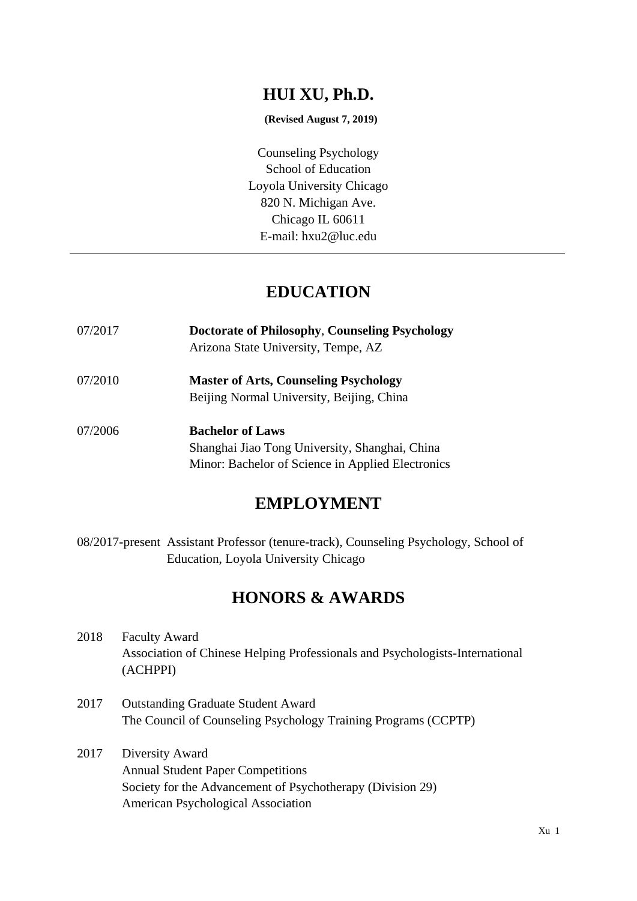## **HUI XU, Ph.D.**

#### **(Revised August 7, 2019)**

Counseling Psychology School of Education Loyola University Chicago 820 N. Michigan Ave. Chicago IL 60611 E-mail: hxu2@luc.edu

## **EDUCATION**

| 07/2017 | <b>Doctorate of Philosophy, Counseling Psychology</b><br>Arizona State University, Tempe, AZ                                   |
|---------|--------------------------------------------------------------------------------------------------------------------------------|
| 07/2010 | <b>Master of Arts, Counseling Psychology</b><br>Beijing Normal University, Beijing, China                                      |
| 07/2006 | <b>Bachelor of Laws</b><br>Shanghai Jiao Tong University, Shanghai, China<br>Minor: Bachelor of Science in Applied Electronics |

## **EMPLOYMENT**

08/2017-present Assistant Professor (tenure-track), Counseling Psychology, School of Education, Loyola University Chicago

## **HONORS & AWARDS**

- 2018 Faculty Award Association of Chinese Helping Professionals and Psychologists-International (ACHPPI)
- 2017 Outstanding Graduate Student Award The Council of Counseling Psychology Training Programs (CCPTP)
- 2017 Diversity Award Annual Student Paper Competitions Society for the Advancement of Psychotherapy (Division 29) American Psychological Association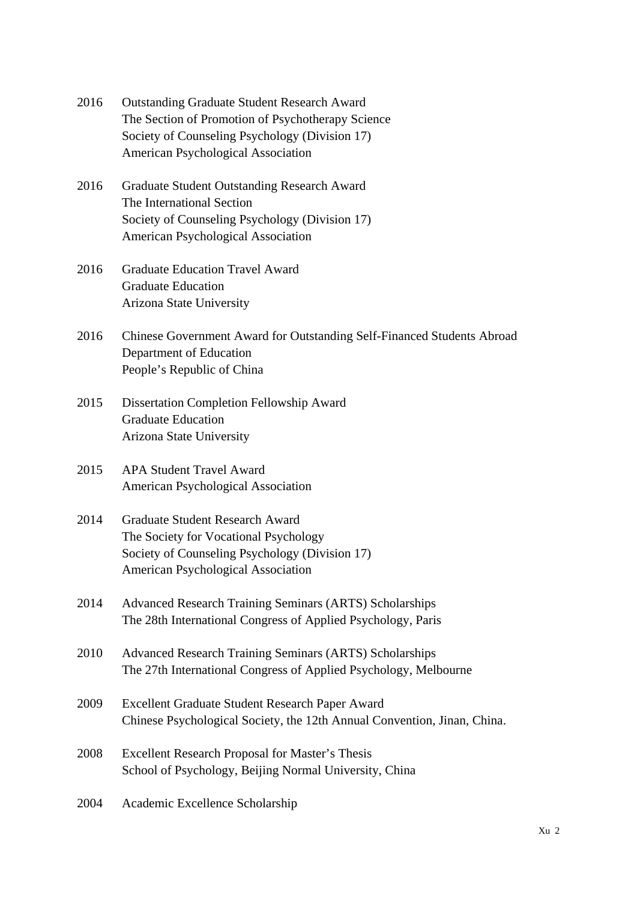- 2016 Outstanding Graduate Student Research Award The Section of Promotion of Psychotherapy Science Society of Counseling Psychology (Division 17) American Psychological Association
- 2016 Graduate Student Outstanding Research Award The International Section Society of Counseling Psychology (Division 17) American Psychological Association
- 2016 Graduate Education Travel Award Graduate Education Arizona State University
- 2016 Chinese Government Award for Outstanding Self-Financed Students Abroad Department of Education People's Republic of China
- 2015 Dissertation Completion Fellowship Award Graduate Education Arizona State University
- 2015 APA Student Travel Award American Psychological Association
- 2014 Graduate Student Research Award The Society for Vocational Psychology Society of Counseling Psychology (Division 17) American Psychological Association
- 2014 Advanced Research Training Seminars (ARTS) Scholarships The 28th International Congress of Applied Psychology, Paris
- 2010 Advanced Research Training Seminars (ARTS) Scholarships The 27th International Congress of Applied Psychology, Melbourne
- 2009 Excellent Graduate Student Research Paper Award Chinese Psychological Society, the 12th Annual Convention, Jinan, China.
- 2008 Excellent Research Proposal for Master's Thesis School of Psychology, Beijing Normal University, China

#### 2004 Academic Excellence Scholarship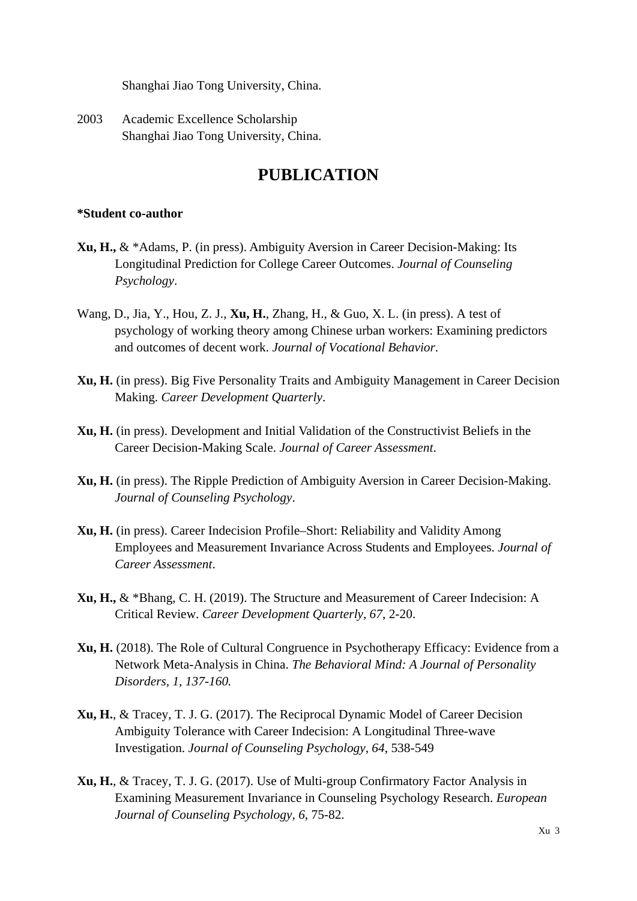Shanghai Jiao Tong University, China.

2003 Academic Excellence Scholarship Shanghai Jiao Tong University, China.

# **PUBLICATION**

#### **\*Student co-author**

- **Xu, H.,** & \*Adams, P. (in press). Ambiguity Aversion in Career Decision-Making: Its Longitudinal Prediction for College Career Outcomes. *Journal of Counseling Psychology*.
- Wang, D., Jia, Y., Hou, Z. J., **Xu, H.**, Zhang, H., & Guo, X. L. (in press). A test of psychology of working theory among Chinese urban workers: Examining predictors and outcomes of decent work. *Journal of Vocational Behavior*.
- **Xu, H.** (in press). Big Five Personality Traits and Ambiguity Management in Career Decision Making. *Career Development Quarterly*.
- **Xu, H.** (in press). Development and Initial Validation of the Constructivist Beliefs in the Career Decision-Making Scale. *Journal of Career Assessment*.
- **Xu, H.** (in press). The Ripple Prediction of Ambiguity Aversion in Career Decision-Making. *Journal of Counseling Psychology*.
- **Xu, H.** (in press). Career Indecision Profile–Short: Reliability and Validity Among Employees and Measurement Invariance Across Students and Employees. *Journal of Career Assessment*.
- **Xu, H.,** & \*Bhang, C. H. (2019). The Structure and Measurement of Career Indecision: A Critical Review. *Career Development Quarterly, 67*, 2-20.
- **Xu, H.** (2018). The Role of Cultural Congruence in Psychotherapy Efficacy: Evidence from a Network Meta-Analysis in China. *The Behavioral Mind: A Journal of Personality Disorders, 1, 137-160.*
- **Xu, H.**, & Tracey, T. J. G. (2017). The Reciprocal Dynamic Model of Career Decision Ambiguity Tolerance with Career Indecision: A Longitudinal Three-wave Investigation. *Journal of Counseling Psychology, 64*, 538-549
- **Xu, H.**, & Tracey, T. J. G. (2017). Use of Multi-group Confirmatory Factor Analysis in Examining Measurement Invariance in Counseling Psychology Research. *European Journal of Counseling Psychology, 6*, 75-82.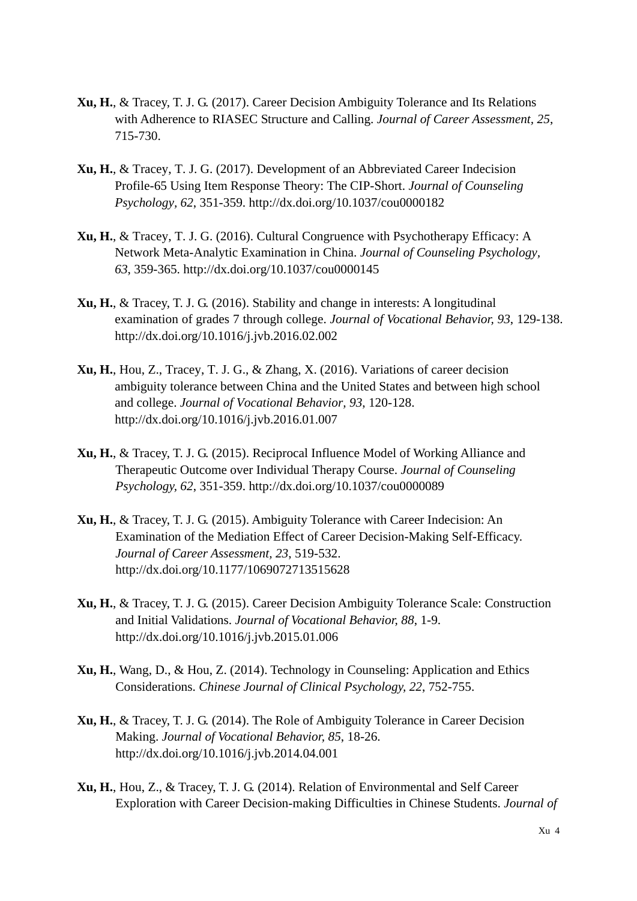- **Xu, H.**, & Tracey, T. J. G. (2017). Career Decision Ambiguity Tolerance and Its Relations with Adherence to RIASEC Structure and Calling. *Journal of Career Assessment, 25*, 715-730.
- **Xu, H.**, & Tracey, T. J. G. (2017). Development of an Abbreviated Career Indecision Profile-65 Using Item Response Theory: The CIP-Short. *Journal of Counseling Psychology, 62*, 351-359. http://dx.doi.org/10.1037/cou0000182
- **Xu, H.**, & Tracey, T. J. G. (2016). Cultural Congruence with Psychotherapy Efficacy: A Network Meta-Analytic Examination in China. *Journal of Counseling Psychology, 63*, 359-365. http://dx.doi.org/10.1037/cou0000145
- **Xu, H.**, & Tracey, T. J. G. (2016). Stability and change in interests: A longitudinal examination of grades 7 through college. *Journal of Vocational Behavior, 93*, 129-138. http://dx.doi.org/10.1016/j.jvb.2016.02.002
- **Xu, H.**, Hou, Z., Tracey, T. J. G., & Zhang, X. (2016). Variations of career decision ambiguity tolerance between China and the United States and between high school and college. *Journal of Vocational Behavior, 93*, 120-128. http://dx.doi.org/10.1016/j.jvb.2016.01.007
- **Xu, H.**, & Tracey, T. J. G. (2015). Reciprocal Influence Model of Working Alliance and Therapeutic Outcome over Individual Therapy Course. *Journal of Counseling Psychology, 62*, 351-359. http://dx.doi.org/10.1037/cou0000089
- **Xu, H.**, & Tracey, T. J. G. (2015). Ambiguity Tolerance with Career Indecision: An Examination of the Mediation Effect of Career Decision-Making Self-Efficacy. *Journal of Career Assessment, 23*, 519-532. http://dx.doi.org/10.1177/1069072713515628
- **Xu, H.**, & Tracey, T. J. G. (2015). Career Decision Ambiguity Tolerance Scale: Construction and Initial Validations. *Journal of Vocational Behavior, 88*, 1-9. http://dx.doi.org/10.1016/j.jvb.2015.01.006
- **Xu, H.**, Wang, D., & Hou, Z. (2014). Technology in Counseling: Application and Ethics Considerations. *Chinese Journal of Clinical Psychology, 22*, 752-755.
- **Xu, H.**, & Tracey, T. J. G. (2014). The Role of Ambiguity Tolerance in Career Decision Making. *Journal of Vocational Behavior, 85*, 18-26. http://dx.doi.org/10.1016/j.jvb.2014.04.001
- **Xu, H.**, Hou, Z., & Tracey, T. J. G. (2014). Relation of Environmental and Self Career Exploration with Career Decision-making Difficulties in Chinese Students. *Journal of*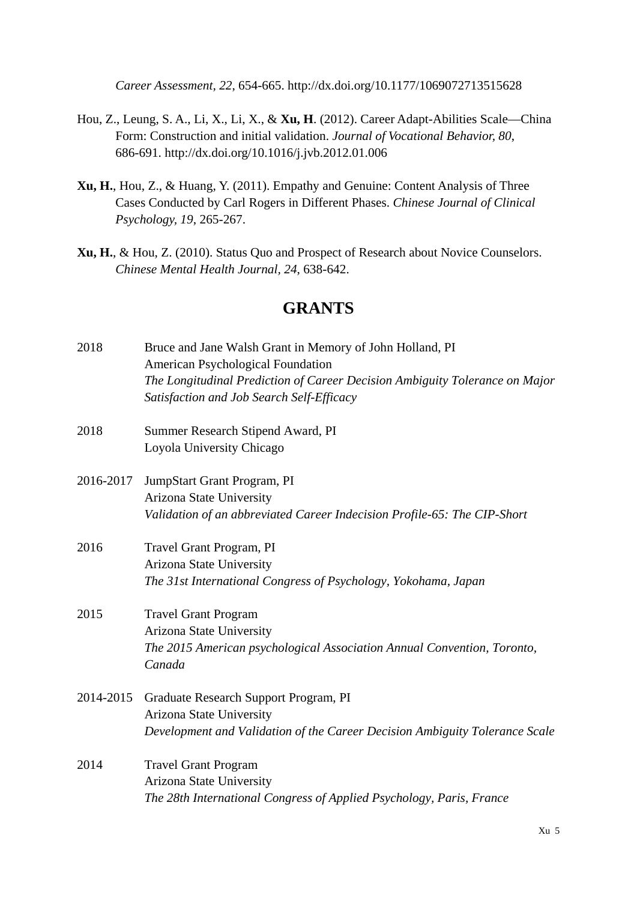*Career Assessment, 22*, 654-665. http://dx.doi.org/10.1177/1069072713515628

- Hou, Z., Leung, S. A., Li, X., Li, X., & **Xu, H**. (2012). Career Adapt-Abilities Scale—China Form: Construction and initial validation. *Journal of Vocational Behavior, 80*, 686-691. http://dx.doi.org/10.1016/j.jvb.2012.01.006
- **Xu, H.**, Hou, Z., & Huang, Y. (2011). Empathy and Genuine: Content Analysis of Three Cases Conducted by Carl Rogers in Different Phases. *Chinese Journal of Clinical Psychology, 19*, 265-267.
- **Xu, H.**, & Hou, Z. (2010). Status Quo and Prospect of Research about Novice Counselors. *Chinese Mental Health Journal, 24*, 638-642.

#### **GRANTS**

- 2018 Bruce and Jane Walsh Grant in Memory of John Holland, PI American Psychological Foundation *The Longitudinal Prediction of Career Decision Ambiguity Tolerance on Major Satisfaction and Job Search Self-Efficacy*
- 2018 Summer Research Stipend Award, PI Loyola University Chicago
- 2016-2017 JumpStart Grant Program, PI Arizona State University *Validation of an abbreviated Career Indecision Profile-65: The CIP-Short*
- 2016 Travel Grant Program, PI Arizona State University *The 31st International Congress of Psychology, Yokohama, Japan*
- 2015 Travel Grant Program Arizona State University *The 2015 American psychological Association Annual Convention, Toronto, Canada*
- 2014-2015 Graduate Research Support Program, PI Arizona State University *Development and Validation of the Career Decision Ambiguity Tolerance Scale*
- 2014 Travel Grant Program Arizona State University *The 28th International Congress of Applied Psychology, Paris, France*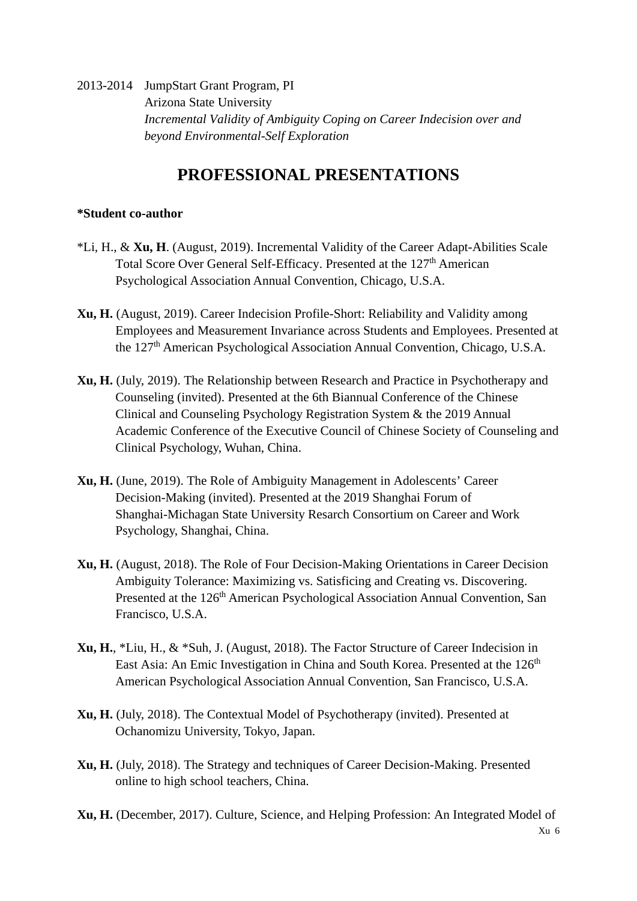2013-2014 JumpStart Grant Program, PI Arizona State University *Incremental Validity of Ambiguity Coping on Career Indecision over and beyond Environmental-Self Exploration*

# **PROFESSIONAL PRESENTATIONS**

#### **\*Student co-author**

- \*Li, H., & **Xu, H**. (August, 2019). Incremental Validity of the Career Adapt-Abilities Scale Total Score Over General Self-Efficacy. Presented at the 127<sup>th</sup> American Psychological Association Annual Convention, Chicago, U.S.A.
- **Xu, H.** (August, 2019). Career Indecision Profile-Short: Reliability and Validity among Employees and Measurement Invariance across Students and Employees. Presented at the 127th American Psychological Association Annual Convention, Chicago, U.S.A.
- **Xu, H.** (July, 2019). The Relationship between Research and Practice in Psychotherapy and Counseling (invited). Presented at the 6th Biannual Conference of the Chinese Clinical and Counseling Psychology Registration System & the 2019 Annual Academic Conference of the Executive Council of Chinese Society of Counseling and Clinical Psychology, Wuhan, China.
- **Xu, H.** (June, 2019). The Role of Ambiguity Management in Adolescents' Career Decision-Making (invited). Presented at the 2019 Shanghai Forum of Shanghai-Michagan State University Resarch Consortium on Career and Work Psychology, Shanghai, China.
- **Xu, H.** (August, 2018). The Role of Four Decision-Making Orientations in Career Decision Ambiguity Tolerance: Maximizing vs. Satisficing and Creating vs. Discovering. Presented at the 126<sup>th</sup> American Psychological Association Annual Convention, San Francisco, U.S.A.
- **Xu, H.**, \*Liu, H., & \*Suh, J. (August, 2018). The Factor Structure of Career Indecision in East Asia: An Emic Investigation in China and South Korea. Presented at the 126<sup>th</sup> American Psychological Association Annual Convention, San Francisco, U.S.A.
- **Xu, H.** (July, 2018). The Contextual Model of Psychotherapy (invited). Presented at Ochanomizu University, Tokyo, Japan.
- **Xu, H.** (July, 2018). The Strategy and techniques of Career Decision-Making. Presented online to high school teachers, China.
- **Xu, H.** (December, 2017). Culture, Science, and Helping Profession: An Integrated Model of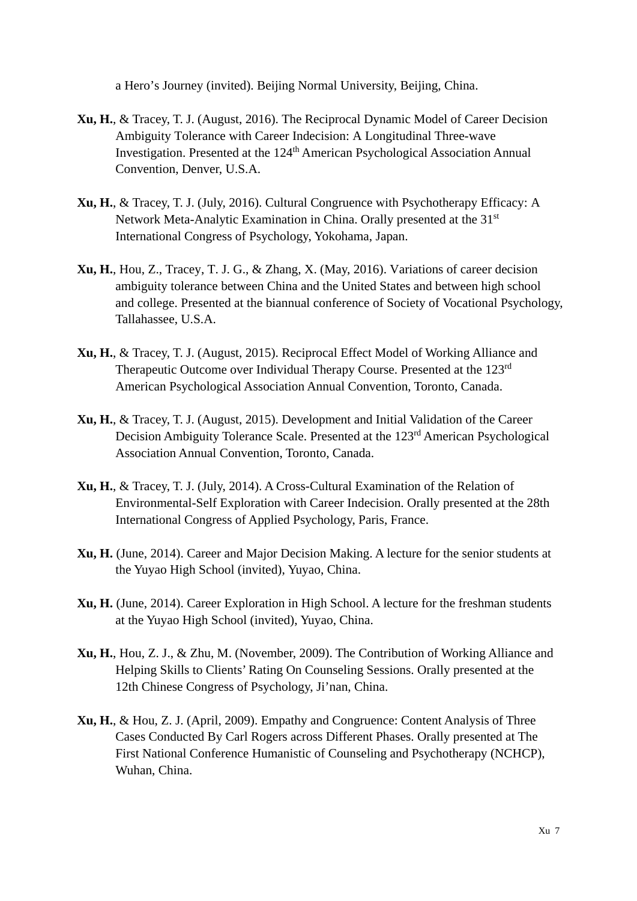a Hero's Journey (invited). Beijing Normal University, Beijing, China.

- **Xu, H.**, & Tracey, T. J. (August, 2016). The Reciprocal Dynamic Model of Career Decision Ambiguity Tolerance with Career Indecision: A Longitudinal Three-wave Investigation. Presented at the 124<sup>th</sup> American Psychological Association Annual Convention, Denver, U.S.A.
- **Xu, H.**, & Tracey, T. J. (July, 2016). Cultural Congruence with Psychotherapy Efficacy: A Network Meta-Analytic Examination in China. Orally presented at the 31<sup>st</sup> International Congress of Psychology, Yokohama, Japan.
- **Xu, H.**, Hou, Z., Tracey, T. J. G., & Zhang, X. (May, 2016). Variations of career decision ambiguity tolerance between China and the United States and between high school and college. Presented at the biannual conference of Society of Vocational Psychology, Tallahassee, U.S.A.
- **Xu, H.**, & Tracey, T. J. (August, 2015). Reciprocal Effect Model of Working Alliance and Therapeutic Outcome over Individual Therapy Course. Presented at the 123rd American Psychological Association Annual Convention, Toronto, Canada.
- **Xu, H.**, & Tracey, T. J. (August, 2015). Development and Initial Validation of the Career Decision Ambiguity Tolerance Scale. Presented at the 123rd American Psychological Association Annual Convention, Toronto, Canada.
- **Xu, H.**, & Tracey, T. J. (July, 2014). A Cross-Cultural Examination of the Relation of Environmental-Self Exploration with Career Indecision. Orally presented at the 28th International Congress of Applied Psychology, Paris, France.
- **Xu, H.** (June, 2014). Career and Major Decision Making. A lecture for the senior students at the Yuyao High School (invited), Yuyao, China.
- **Xu, H.** (June, 2014). Career Exploration in High School. A lecture for the freshman students at the Yuyao High School (invited), Yuyao, China.
- **Xu, H.**, Hou, Z. J., & Zhu, M. (November, 2009). The Contribution of Working Alliance and Helping Skills to Clients' Rating On Counseling Sessions. Orally presented at the 12th Chinese Congress of Psychology, Ji'nan, China.
- **Xu, H.**, & Hou, Z. J. (April, 2009). Empathy and Congruence: Content Analysis of Three Cases Conducted By Carl Rogers across Different Phases. Orally presented at The First National Conference Humanistic of Counseling and Psychotherapy (NCHCP), Wuhan, China.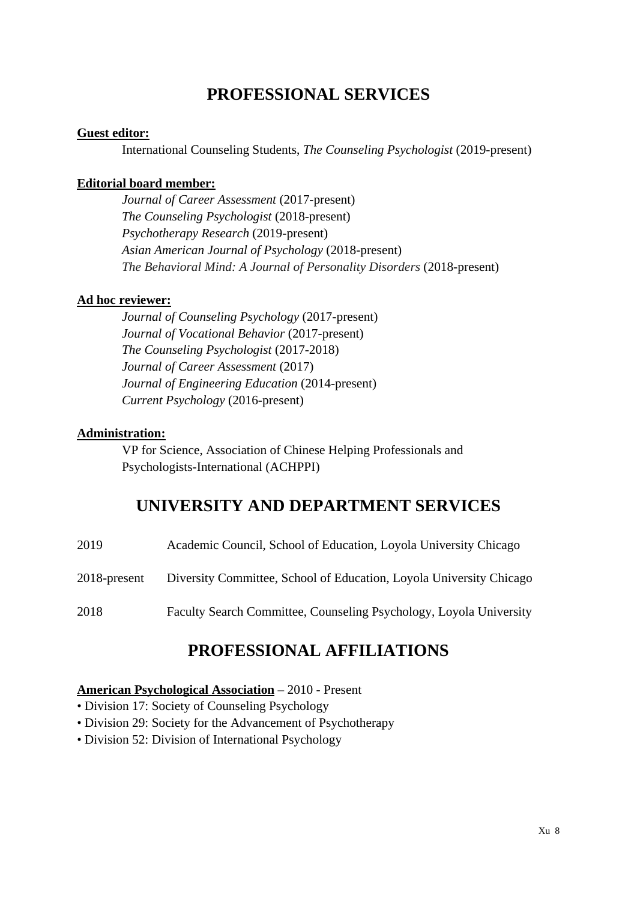## **PROFESSIONAL SERVICES**

#### **Guest editor:**

International Counseling Students, *The Counseling Psychologist* (2019-present)

#### **Editorial board member:**

*Journal of Career Assessment* (2017-present) *The Counseling Psychologist* (2018-present) *Psychotherapy Research* (2019-present) *Asian American Journal of Psychology* (2018-present) *The Behavioral Mind: A Journal of Personality Disorders* (2018-present)

#### **Ad hoc reviewer:**

*Journal of Counseling Psychology* (2017-present) *Journal of Vocational Behavior* (2017-present) *The Counseling Psychologist* (2017-2018) *Journal of Career Assessment* (2017) *Journal of Engineering Education* (2014-present) *Current Psychology* (2016-present)

#### **Administration:**

VP for Science, Association of Chinese Helping Professionals and Psychologists-International (ACHPPI)

## **UNIVERSITY AND DEPARTMENT SERVICES**

| 2019         | Academic Council, School of Education, Loyola University Chicago    |
|--------------|---------------------------------------------------------------------|
| 2018-present | Diversity Committee, School of Education, Loyola University Chicago |
| 2018         | Faculty Search Committee, Counseling Psychology, Loyola University  |

## **PROFESSIONAL AFFILIATIONS**

#### **American Psychological Association** – 2010 - Present

- Division 17: Society of Counseling Psychology
- Division 29: Society for the Advancement of Psychotherapy
- Division 52: Division of International Psychology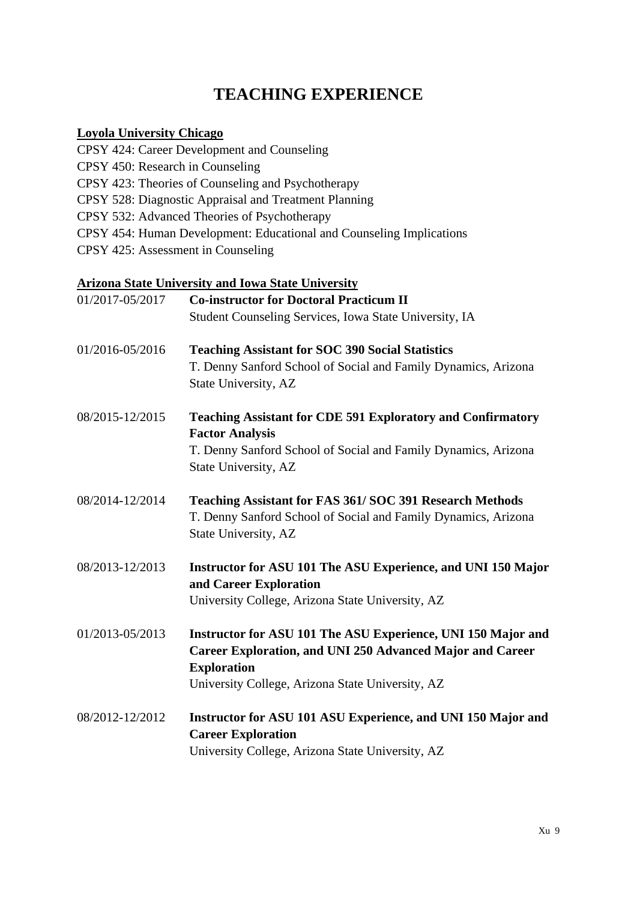# **TEACHING EXPERIENCE**

### **Loyola University Chicago**

| CPSY 424: Career Development and Counseling                          |
|----------------------------------------------------------------------|
| CPSY 450: Research in Counseling                                     |
| CPSY 423: Theories of Counseling and Psychotherapy                   |
| CPSY 528: Diagnostic Appraisal and Treatment Planning                |
| CPSY 532: Advanced Theories of Psychotherapy                         |
| CPSY 454: Human Development: Educational and Counseling Implications |
| CPSY 425: Assessment in Counseling                                   |

### **Arizona State University and Iowa State University**

| 01/2017-05/2017 | <b>Co-instructor for Doctoral Practicum II</b>                                                                                                  |
|-----------------|-------------------------------------------------------------------------------------------------------------------------------------------------|
|                 | Student Counseling Services, Iowa State University, IA                                                                                          |
| 01/2016-05/2016 | <b>Teaching Assistant for SOC 390 Social Statistics</b>                                                                                         |
|                 | T. Denny Sanford School of Social and Family Dynamics, Arizona<br>State University, AZ                                                          |
| 08/2015-12/2015 | <b>Teaching Assistant for CDE 591 Exploratory and Confirmatory</b><br><b>Factor Analysis</b>                                                    |
|                 | T. Denny Sanford School of Social and Family Dynamics, Arizona<br>State University, AZ                                                          |
| 08/2014-12/2014 | <b>Teaching Assistant for FAS 361/SOC 391 Research Methods</b>                                                                                  |
|                 | T. Denny Sanford School of Social and Family Dynamics, Arizona<br>State University, AZ                                                          |
| 08/2013-12/2013 | Instructor for ASU 101 The ASU Experience, and UNI 150 Major<br>and Career Exploration                                                          |
|                 | University College, Arizona State University, AZ                                                                                                |
| 01/2013-05/2013 | Instructor for ASU 101 The ASU Experience, UNI 150 Major and<br>Career Exploration, and UNI 250 Advanced Major and Career<br><b>Exploration</b> |
|                 | University College, Arizona State University, AZ                                                                                                |
| 08/2012-12/2012 | Instructor for ASU 101 ASU Experience, and UNI 150 Major and                                                                                    |
|                 | <b>Career Exploration</b>                                                                                                                       |
|                 | University College, Arizona State University, AZ                                                                                                |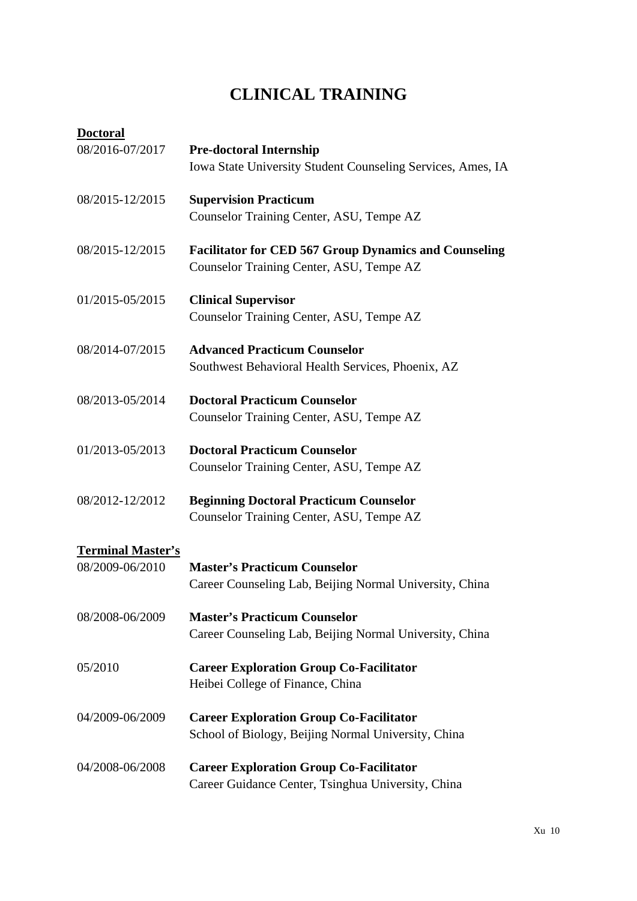# **CLINICAL TRAINING**

| <b>Doctoral</b>                             |                                                                                                          |
|---------------------------------------------|----------------------------------------------------------------------------------------------------------|
| 08/2016-07/2017                             | <b>Pre-doctoral Internship</b><br>Iowa State University Student Counseling Services, Ames, IA            |
| 08/2015-12/2015                             | <b>Supervision Practicum</b><br>Counselor Training Center, ASU, Tempe AZ                                 |
| 08/2015-12/2015                             | <b>Facilitator for CED 567 Group Dynamics and Counseling</b><br>Counselor Training Center, ASU, Tempe AZ |
| 01/2015-05/2015                             | <b>Clinical Supervisor</b><br>Counselor Training Center, ASU, Tempe AZ                                   |
| 08/2014-07/2015                             | <b>Advanced Practicum Counselor</b><br>Southwest Behavioral Health Services, Phoenix, AZ                 |
| 08/2013-05/2014                             | <b>Doctoral Practicum Counselor</b><br>Counselor Training Center, ASU, Tempe AZ                          |
| 01/2013-05/2013                             | <b>Doctoral Practicum Counselor</b><br>Counselor Training Center, ASU, Tempe AZ                          |
| 08/2012-12/2012                             | <b>Beginning Doctoral Practicum Counselor</b><br>Counselor Training Center, ASU, Tempe AZ                |
| <b>Terminal Master's</b><br>08/2009-06/2010 | <b>Master's Practicum Counselor</b><br>Career Counseling Lab, Beijing Normal University, China           |
| 08/2008-06/2009                             | <b>Master's Practicum Counselor</b><br>Career Counseling Lab, Beijing Normal University, China           |
| 05/2010                                     | <b>Career Exploration Group Co-Facilitator</b><br>Heibei College of Finance, China                       |
| 04/2009-06/2009                             | <b>Career Exploration Group Co-Facilitator</b><br>School of Biology, Beijing Normal University, China    |
| 04/2008-06/2008                             | <b>Career Exploration Group Co-Facilitator</b><br>Career Guidance Center, Tsinghua University, China     |